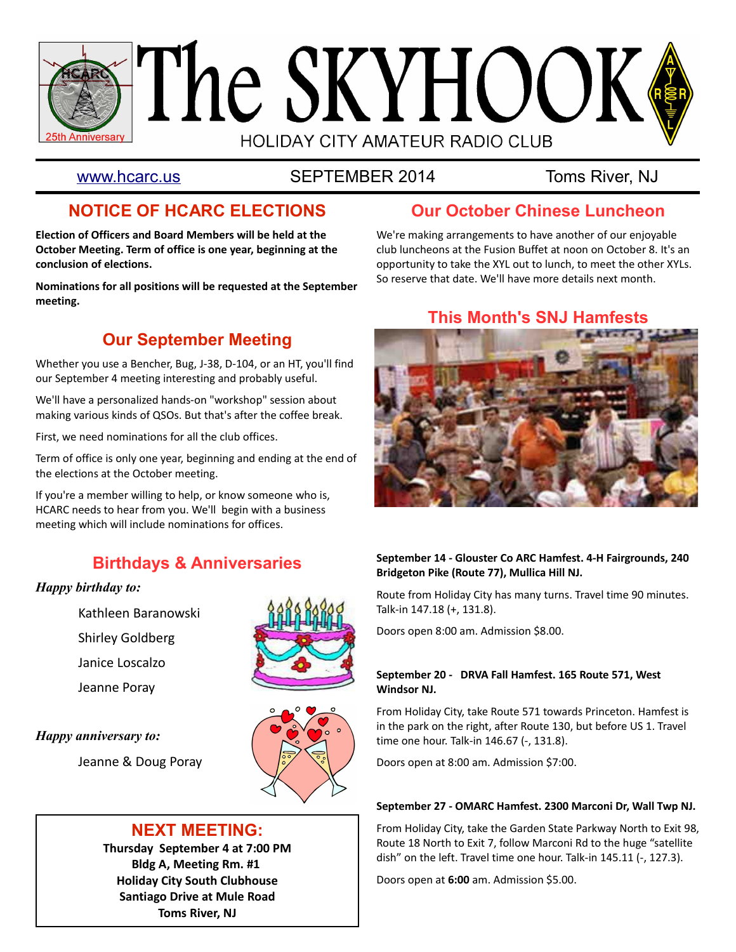

[www.hcarc.us](http://www.hcarc.us/) SEPTEMBER 2014 Toms River, NJ

# **NOTICE OF HCARC ELECTIONS**

**Election of Officers and Board Members will be held at the October Meeting. Term of office is one year, beginning at the conclusion of elections.** 

**Nominations for all positions will be requested at the September meeting.** 

# **Our September Meeting**

Whether you use a Bencher, Bug, J-38, D-104, or an HT, you'll find our September 4 meeting interesting and probably useful.

We'll have a personalized hands-on "workshop" session about making various kinds of QSOs. But that's after the coffee break.

First, we need nominations for all the club offices.

Term of office is only one year, beginning and ending at the end of the elections at the October meeting.

If you're a member willing to help, or know someone who is, HCARC needs to hear from you. We'll begin with a business meeting which will include nominations for offices.

# **Birthdays & Anniversaries**

## **Happy birthday to:**

- Kathleen Baranowski
- Shirley Goldberg
- Janice Loscalzo
- Jeanne Poray



Jeanne & Doug Poray





## **NEXT MEETING:**

**Thursday September 4 at 7:00 PM Bldg A, Meeting Rm. #1 Holiday City South Clubhouse Santiago Drive at Mule Road Toms River, NJ**

# **Our October Chinese Luncheon**

We're making arrangements to have another of our enjoyable club luncheons at the Fusion Buffet at noon on October 8. It's an opportunity to take the XYL out to lunch, to meet the other XYLs. So reserve that date. We'll have more details next month.

# **This Month's SNJ Hamfests**



### **September 14 - Glouster Co ARC Hamfest. 4-H Fairgrounds, 240 Bridgeton Pike (Route 77), Mullica Hill NJ.**

Route from Holiday City has many turns. Travel time 90 minutes. Talk-in 147.18 (+, 131.8).

Doors open 8:00 am. Admission \$8.00.

#### **September 20 - DRVA Fall Hamfest. 165 Route 571, West Windsor NJ.**

From Holiday City, take Route 571 towards Princeton. Hamfest is in the park on the right, after Route 130, but before US 1. Travel time one hour. Talk-in 146.67 (-, 131.8).

Doors open at 8:00 am. Admission \$7:00.

#### **September 27 - OMARC Hamfest. 2300 Marconi Dr, Wall Twp NJ.**

From Holiday City, take the Garden State Parkway North to Exit 98, Route 18 North to Exit 7, follow Marconi Rd to the huge "satellite dish" on the left. Travel time one hour. Talk-in 145.11 (-, 127.3).

Doors open at **6:00** am. Admission \$5.00.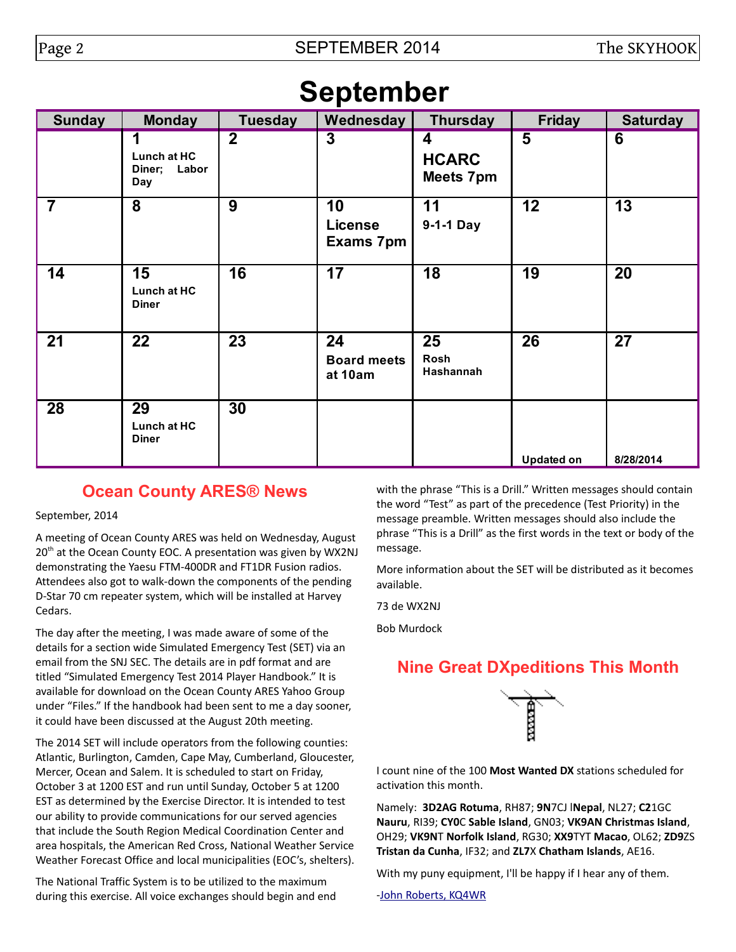# **September**

| <b>Sunday</b>  | <b>Monday</b>                      | <b>Tuesday</b>   | Wednesday                           | <b>Thursday</b>                       | <b>Friday</b>     | <b>Saturday</b> |  |
|----------------|------------------------------------|------------------|-------------------------------------|---------------------------------------|-------------------|-----------------|--|
|                | Lunch at HC<br>Diner; Labor<br>Day | $\boldsymbol{2}$ | $\overline{\mathbf{3}}$             | 4<br><b>HCARC</b><br><b>Meets 7pm</b> | 5                 | 6               |  |
| $\overline{7}$ | 8                                  | 9                | 10<br><b>License</b><br>Exams 7pm   | 11<br>9-1-1 Day                       | 12                | 13              |  |
| 14             | 15<br>Lunch at HC<br><b>Diner</b>  | 16               | 17                                  | 18                                    | 19                | 20              |  |
| 21             | 22                                 | 23               | 24<br><b>Board meets</b><br>at 10am | 25<br>Rosh<br>Hashannah               | 26                | 27              |  |
| 28             | 29<br>Lunch at HC<br><b>Diner</b>  | 30               |                                     |                                       | <b>Updated on</b> | 8/28/2014       |  |

# **Ocean County ARES® News**

September, 2014

A meeting of Ocean County ARES was held on Wednesday, August 20<sup>th</sup> at the Ocean County EOC. A presentation was given by WX2NJ demonstrating the Yaesu FTM-400DR and FT1DR Fusion radios. Attendees also got to walk-down the components of the pending D-Star 70 cm repeater system, which will be installed at Harvey Cedars.

The day after the meeting, I was made aware of some of the details for a section wide Simulated Emergency Test (SET) via an email from the SNJ SEC. The details are in pdf format and are titled "Simulated Emergency Test 2014 Player Handbook." It is available for download on the Ocean County ARES Yahoo Group under "Files." If the handbook had been sent to me a day sooner, it could have been discussed at the August 20th meeting.

The 2014 SET will include operators from the following counties: Atlantic, Burlington, Camden, Cape May, Cumberland, Gloucester, Mercer, Ocean and Salem. It is scheduled to start on Friday, October 3 at 1200 EST and run until Sunday, October 5 at 1200 EST as determined by the Exercise Director. It is intended to test our ability to provide communications for our served agencies that include the South Region Medical Coordination Center and area hospitals, the American Red Cross, National Weather Service Weather Forecast Office and local municipalities (EOC's, shelters).

The National Traffic System is to be utilized to the maximum during this exercise. All voice exchanges should begin and end with the phrase "This is a Drill." Written messages should contain the word "Test" as part of the precedence (Test Priority) in the message preamble. Written messages should also include the phrase "This is a Drill" as the first words in the text or body of the message.

More information about the SET will be distributed as it becomes available.

73 de WX2NJ

Bob Murdock

# **Nine Great DXpeditions This Month**



I count nine of the 100 **Most Wanted DX** stations scheduled for activation this month.

Namely: **3D2AG Rotuma**, RH87; **9N**7CJ l**Nepal**, NL27; **C2**1GC **Nauru**, RI39; **CY0**C **Sable Island**, GN03; **VK9AN Christmas Island**, OH29; **VK9N**T **Norfolk Island**, RG30; **XX9**TYT **Macao**, OL62; **ZD9**ZS **Tristan da Cunha**, IF32; and **ZL7**X **Chatham Islands**, AE16.

With my puny equipment, I'll be happy if I hear any of them.

[-John Roberts, KQ4WR](mailto:KQ4WR@arrl.net)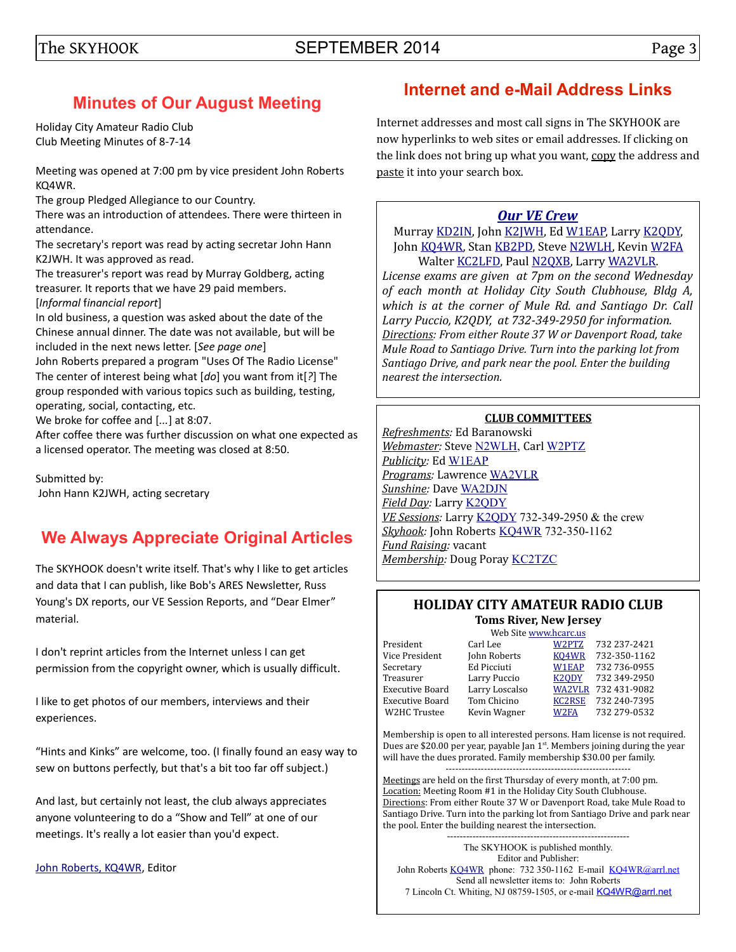## The SKYHOOK SEPTEMBER 2014

# **Minutes of Our August Meeting**

Holiday City Amateur Radio Club Club Meeting Minutes of 8-7-14

Meeting was opened at 7:00 pm by vice president John Roberts KQ4WR.

The group Pledged Allegiance to our Country.

There was an introduction of attendees. There were thirteen in attendance.

The secretary's report was read by acting secretar John Hann K2JWH. It was approved as read.

The treasurer's report was read by Murray Goldberg, acting treasurer. It reports that we have 29 paid members. [*Informal* f*inancial report*]

In old business, a question was asked about the date of the Chinese annual dinner. The date was not available, but will be included in the next news letter. [*See page one*]

John Roberts prepared a program "Uses Of The Radio License" The center of interest being what [*do*] you want from it[*?*] The group responded with various topics such as building, testing, operating, social, contacting, etc.

We broke for coffee and [*...*] at 8:07.

After coffee there was further discussion on what one expected as a licensed operator. The meeting was closed at 8:50.

Submitted by: John Hann K2JWH, acting secretary

# **We Always Appreciate Original Articles**

The SKYHOOK doesn't write itself. That's why I like to get articles and data that I can publish, like Bob's ARES Newsletter, Russ Young's DX reports, our VE Session Reports, and "Dear Elmer" material.

I don't reprint articles from the Internet unless I can get permission from the copyright owner, which is usually difficult.

I like to get photos of our members, interviews and their experiences.

"Hints and Kinks" are welcome, too. (I finally found an easy way to sew on buttons perfectly, but that's a bit too far off subject.)

And last, but certainly not least, the club always appreciates anyone volunteering to do a "Show and Tell" at one of our meetings. It's really a lot easier than you'd expect.

[John Roberts, KQ4WR,](mailto:KQ4WR@arrl.net) Editor

## **Internet and e-Mail Address Links**

Internet addresses and most call signs in The SKYHOOK are now hyperlinks to web sites or email addresses. If clicking on the link does not bring up what you want, copy the address and paste it into your search box.

## *[Our VE Crew](mailto:lpuccio1@comcast.net?subject=VE)*

Murray [KD2IN,](mailto:MurrayKD2IN@comcast.net) John [K2JWH,](mailto:johnhinbarnegat@gmail.com) Ed [W1EAP,](mailto:epicciuti@hotmail.com) Larry [K2QDY,](mailto:lpuccio1@comcast.net) John [KQ4WR,](mailto:kq4wr@arrl.net) Stan [KB2PD,](mailto:kb2pd@arrl.net) Steve [N2WLH,](mailto:n2wlh@arrl.net) Kevin [W2FA](mailto:w2fa.kgw@gmail.com) Walter [KC2LFD,](mailto:wkorch@yahoo.com) Paul [N2QXB,](mailto:N2QXB@hotmail.com) Larry [WA2VLR.](mailto:lloscalz@optonline.net) *License exams are given at 7pm on the second Wednesday of each month at Holiday City South Clubhouse, Bldg A, which is at the corner of Mule Rd. and Santiago Dr. Call Larry Puccio, K2QDY, at 732-349-2950 for information. Directions: From either Route 37 W or Davenport Road, take Mule Road to Santiago Drive. Turn into the parking lot from* 

*Santiago Drive, and park near the pool. Enter the building nearest the intersection.*

## **CLUB COMMITTEES**

*Refreshments:* Ed Baranowski *Webmaster:* Steve [N2WLH,](mailto:n2wlh@arrl.net) Carl [W2PTZ](mailto:w2ptz@arrl.net) *Publicity:* Ed [W1EAP](mailto:epicciuti@hotmail.com) *Programs:* Lawrence [WA2VLR](mailto:lloscalz@optimum.net) *Sunshine:* Dave [WA2DJN](mailto:wa2djn3@verizon.net) *Field Day:* Larry [K2QDY](mailto:lpuccio1@comcast.net) *VE Sessions:* Larry [K2QDY](mailto:lpuccio1@comcast.net) 732-349-2950 & the crew *Skyhook:* John Roberts [KQ4WR](mailto:kq4wr@arrl.net) 732-350-1162 *Fund Raising:* vacant *Membership:* Doug Poray [KC2TZC](mailto:dporay@optonline.net)

## **HOLIDAY CITY AMATEUR RADIO CLUB Toms River, New Jersey**

Web Site [www.hcarc.us](http://www.hcarc.us/) President Carl Lee [W2PTZ](mailto:w2ptz@arrl.net) 732 237-2421 Vice President John Roberts [KQ4WR](mailto:kq4wr@arrl.net) 732-350-1162 Secretary Ed Picciuti [W1EAP](mailto:epicciuti@hotmail.com) 732 736-0955 Treasurer Larry Puccio [K2QDY](mailto:lpuccio1@comcast.net) 732 349-2950 Executive Board Larry Loscalso [WA2VLR](mailto:lloscalz@optonline.net) 732 431-9082 Executive Board Tom Chicino <br>W2HC Trustee Kevin Wagner W2FA 732 279-0532 Kevin Wagner [W2FA](mailto:w2fa.kgw@gmail.com) 732 279-0532

Membership is open to all interested persons. Ham license is not required. Dues are \$20.00 per year, payable Jan  $1<sup>st</sup>$ . Members joining during the year will have the dues prorated. Family membership \$30.00 per family. ----------------------------------------------------------

Meetings are held on the first Thursday of every month, at 7:00 pm. Location: Meeting Room #1 in the Holiday City South Clubhouse. Directions: From either Route 37 W or Davenport Road, take Mule Road to Santiago Drive. Turn into the parking lot from Santiago Drive and park near the pool. Enter the building nearest the intersection. ---------------------------------------------------------

The SKYHOOK is published monthly. Editor and Publisher: John Roberts [KQ4WR](mailto:kq4wr@arrl.net) phone: 732 350-1162 E-mail [KQ4WR@arrl.net](mailto:KQ4WR@arrl.net) Send all newsletter items to: John Roberts 7 Lincoln Ct. Whiting, NJ 08759-1505, or e-mail [KQ4WR@arrl.net](mailto:KQ4WR@arrl.net)